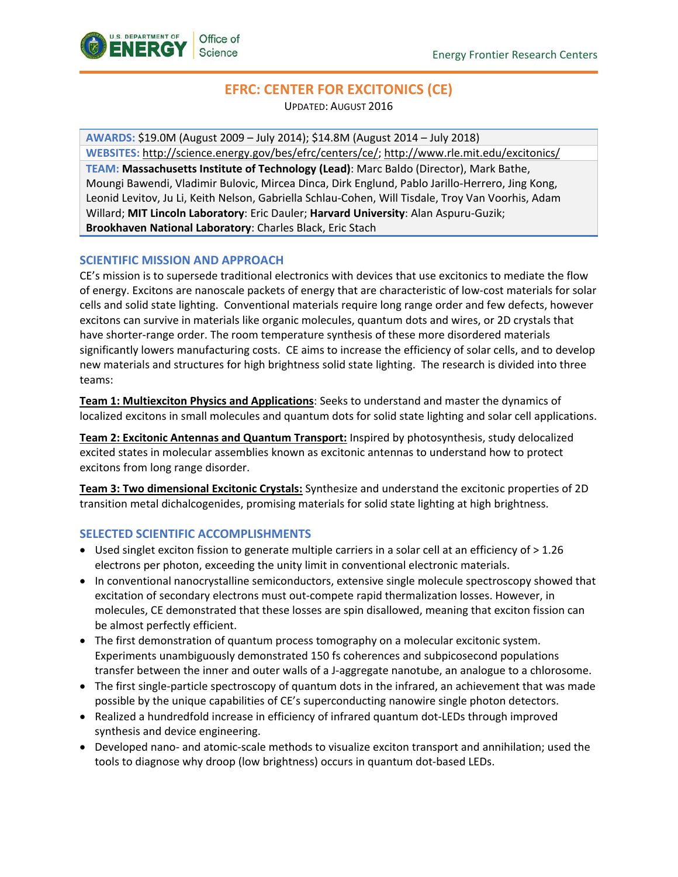

# **EFRC: CENTER FOR EXCITONICS (CE)**

UPDATED: AUGUST 2016

**AWARDS:** \$19.0M (August 2009 – July 2014); \$14.8M (August 2014 – July 2018)

**WEBSITES:** [http://science.energy.gov/bes/efrc/centers/ce/;](http://science.energy.gov/bes/efrc/centers/ce/) <http://www.rle.mit.edu/excitonics/>

**TEAM: Massachusetts Institute of Technology (Lead)**: Marc Baldo (Director), Mark Bathe, Moungi Bawendi, Vladimir Bulovic, Mircea Dinca, Dirk Englund, Pablo Jarillo-Herrero, Jing Kong, Leonid Levitov, Ju Li, Keith Nelson, Gabriella Schlau-Cohen, Will Tisdale, Troy Van Voorhis, Adam Willard; **MIT Lincoln Laboratory**: Eric Dauler; **Harvard University**: Alan Aspuru-Guzik; **Brookhaven National Laboratory**: Charles Black, Eric Stach

## **SCIENTIFIC MISSION AND APPROACH**

CE's mission is to supersede traditional electronics with devices that use excitonics to mediate the flow of energy. Excitons are nanoscale packets of energy that are characteristic of low-cost materials for solar cells and solid state lighting. Conventional materials require long range order and few defects, however excitons can survive in materials like organic molecules, quantum dots and wires, or 2D crystals that have shorter-range order. The room temperature synthesis of these more disordered materials significantly lowers manufacturing costs. CE aims to increase the efficiency of solar cells, and to develop new materials and structures for high brightness solid state lighting. The research is divided into three teams:

**Team 1: Multiexciton Physics and Applications**: Seeks to understand and master the dynamics of localized excitons in small molecules and quantum dots for solid state lighting and solar cell applications.

**Team 2: Excitonic Antennas and Quantum Transport:** Inspired by photosynthesis, study delocalized excited states in molecular assemblies known as excitonic antennas to understand how to protect excitons from long range disorder.

**Team 3: Two dimensional Excitonic Crystals:** Synthesize and understand the excitonic properties of 2D transition metal dichalcogenides, promising materials for solid state lighting at high brightness.

#### **SELECTED SCIENTIFIC ACCOMPLISHMENTS**

- Used singlet exciton fission to generate multiple carriers in a solar cell at an efficiency of  $> 1.26$ electrons per photon, exceeding the unity limit in conventional electronic materials.
- In conventional nanocrystalline semiconductors, extensive single molecule spectroscopy showed that excitation of secondary electrons must out-compete rapid thermalization losses. However, in molecules, CE demonstrated that these losses are spin disallowed, meaning that exciton fission can be almost perfectly efficient.
- The first demonstration of quantum process tomography on a molecular excitonic system. Experiments unambiguously demonstrated 150 fs coherences and subpicosecond populations transfer between the inner and outer walls of a J-aggregate nanotube, an analogue to a chlorosome.
- The first single-particle spectroscopy of quantum dots in the infrared, an achievement that was made possible by the unique capabilities of CE's superconducting nanowire single photon detectors.
- Realized a hundredfold increase in efficiency of infrared quantum dot-LEDs through improved synthesis and device engineering.
- Developed nano- and atomic-scale methods to visualize exciton transport and annihilation; used the tools to diagnose why droop (low brightness) occurs in quantum dot-based LEDs.